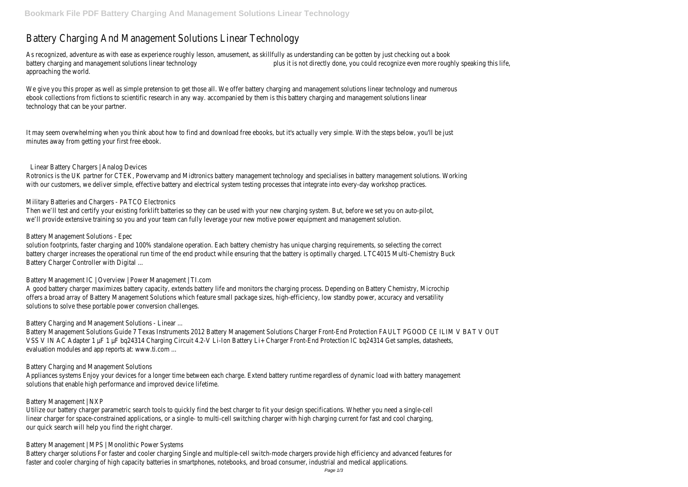# Battery Charging And Management Solutions Linear Technology

As recognized, adventure as with ease as experience roughly lesson, amusement, as skillfully as understanding can be gotten by just checking out a book battery charging and management solutions linear technology plus it is not directly done, you could recognize even more roughly speaking this life, approaching the world.

We give you this proper as well as simple pretension to get those all. We offer battery charging and management solutions linear technology and numerous ebook collections from fictions to scientific research in any way. accompanied by them is this battery charging and management solutions linear technology that can be your partner.

It may seem overwhelming when you think about how to find and download free ebooks, but it's actually very simple. With the steps below, you'll be just minutes away from getting your first free ebook.

## Linear Battery Chargers | Analog Devices

Rotronics is the UK partner for CTEK, Powervamp and Midtronics battery management technology and specialises in battery management solutions. Working with our customers, we deliver simple, effective battery and electrical system testing processes that integrate into every-day workshop practices.

# Military Batteries and Chargers - PATCO Electronics

Then we'll test and certify your existing forklift batteries so they can be used with your new charging system. But, before we set you on auto-pilot, we'll provide extensive training so you and your team can fully leverage your new motive power equipment and management solution.

## Battery Management Solutions - Epec

solution footprints, faster charging and 100% standalone operation. Each battery chemistry has unique charging requirements, so selecting the correct battery charger increases the operational run time of the end product while ensuring that the battery is optimally charged. LTC4015 Multi-Chemistry Buck Battery Charger Controller with Digital ...

Battery Management IC | Overview | Power Management | TI.com

A good battery charger maximizes battery capacity, extends battery life and monitors the charging process. Depending on Battery Chemistry, Microchip offers a broad array of Battery Management Solutions which feature small package sizes, high-efficiency, low standby power, accuracy and versatility solutions to solve these portable power conversion challenges.

# Battery Charging and Management Solutions - Linear ...

Battery Management Solutions Guide 7 Texas Instruments 2012 Battery Management Solutions Charger Front-End Protection FAULT PGOOD CE ILIM V BAT V OUT VSS V IN AC Adapter 1 µF 1 µF bq24314 Charging Circuit 4.2-V Li-Ion Battery Li+ Charger Front-End Protection IC bq24314 Get samples, datasheets, evaluation modules and app reports at: www.ti.com ...

#### Battery Charging and Management Solutions

Appliances systems Enjoy your devices for a longer time between each charge. Extend battery runtime regardless of dynamic load with battery management solutions that enable high performance and improved device lifetime.

#### Battery Management | NXP

Utilize our battery charger parametric search tools to quickly find the best charger to fit your design specifications. Whether you need a single-cell linear charger for space-constrained applications, or a single- to multi-cell switching charger with high charging current for fast and cool charging, our quick search will help you find the right charger.

Battery Management | MPS | Monolithic Power Systems

Battery charger solutions For faster and cooler charging Single and multiple-cell switch-mode chargers provide high efficiency and advanced features for faster and cooler charging of high capacity batteries in smartphones, notebooks, and broad consumer, industrial and medical applications.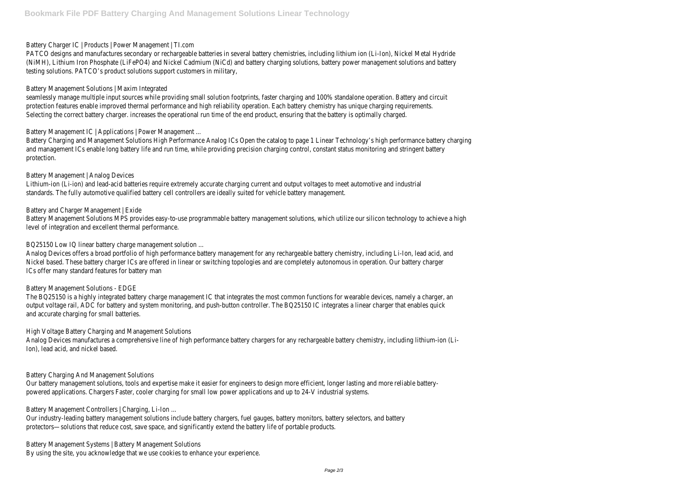Battery Charger IC | Products | Power Management | TI.com

PATCO designs and manufactures secondary or rechargeable batteries in several battery chemistries, including lithium ion (Li-Ion), Nickel Metal Hydride (NiMH), Lithium Iron Phosphate (LiFePO4) and Nickel Cadmium (NiCd) and battery charging solutions, battery power management solutions and battery testing solutions. PATCO's product solutions support customers in military,

## Battery Management Solutions | Maxim Integrated

seamlessly manage multiple input sources while providing small solution footprints, faster charging and 100% standalone operation. Battery and circuit protection features enable improved thermal performance and high reliability operation. Each battery chemistry has unique charging requirements. Selecting the correct battery charger. increases the operational run time of the end product, ensuring that the battery is optimally charged.

Battery Management IC | Applications | Power Management ...

Battery Charging and Management Solutions High Performance Analog ICs Open the catalog to page 1 Linear Technology's high performance battery charging and management ICs enable long battery life and run time, while providing precision charging control, constant status monitoring and stringent battery protection.

## Battery Management | Analog Devices

Analog Devices manufactures a comprehensive line of high performance battery chargers for any rechargeable battery chemistry, including lithium-ion (Li-Ion), lead acid, and nickel based.

Lithium-ion (Li-ion) and lead-acid batteries require extremely accurate charging current and output voltages to meet automotive and industrial standards. The fully automotive qualified battery cell controllers are ideally suited for vehicle battery management.

## Battery and Charger Management | Exide

Battery Management Solutions MPS provides easy-to-use programmable battery management solutions, which utilize our silicon technology to achieve a high level of integration and excellent thermal performance.

BQ25150 Low IQ linear battery charge management solution ...

Analog Devices offers a broad portfolio of high performance battery management for any rechargeable battery chemistry, including Li-Ion, lead acid, and Nickel based. These battery charger ICs are offered in linear or switching topologies and are completely autonomous in operation. Our battery charger ICs offer many standard features for battery man

# Battery Management Solutions - EDGE

The BQ25150 is a highly integrated battery charge management IC that integrates the most common functions for wearable devices, namely a charger, an output voltage rail, ADC for battery and system monitoring, and push-button controller. The BQ25150 IC integrates a linear charger that enables quick and accurate charging for small batteries.

High Voltage Battery Charging and Management Solutions

# Battery Charging And Management Solutions

Our battery management solutions, tools and expertise make it easier for engineers to design more efficient, longer lasting and more reliable batterypowered applications. Chargers Faster, cooler charging for small low power applications and up to 24-V industrial systems.

Battery Management Controllers | Charging, Li-Ion ...

Our industry-leading battery management solutions include battery chargers, fuel gauges, battery monitors, battery selectors, and battery protectors—solutions that reduce cost, save space, and significantly extend the battery life of portable products.

Battery Management Systems | Battery Management Solutions By using the site, you acknowledge that we use cookies to enhance your experience.